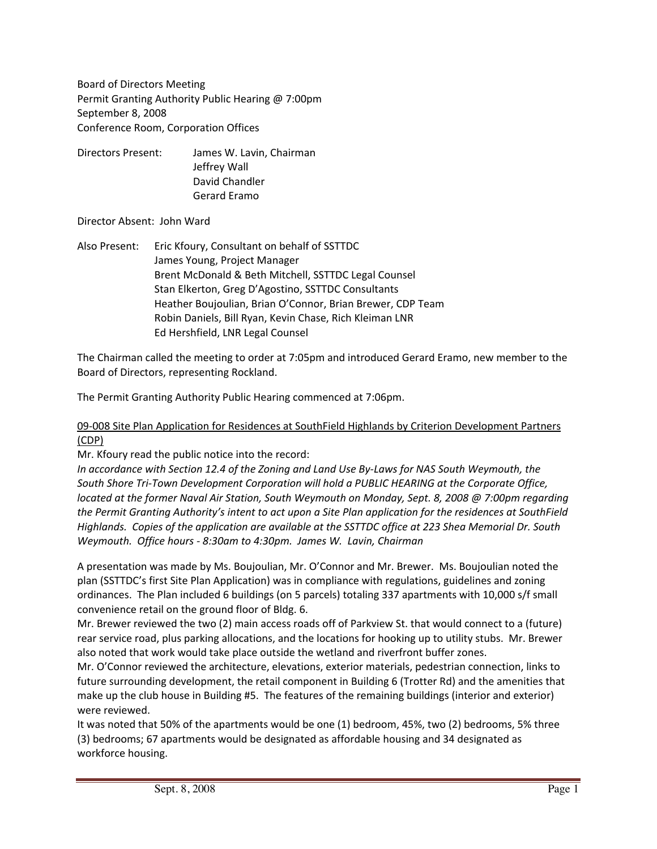Board of Directors Meeting Permit Granting Authority Public Hearing @ 7:00pm September 8, 2008 Conference Room, Corporation Offices

Directors Present: James W. Lavin, Chairman Jeffrey Wall David Chandler Gerard Eramo

# Director Absent: John Ward

Also Present: Eric Kfoury, Consultant on behalf of SSTTDC James Young, Project Manager Brent McDonald & Beth Mitchell, SSTTDC Legal Counsel Stan Elkerton, Greg D'Agostino, SSTTDC Consultants Heather Boujoulian, Brian O'Connor, Brian Brewer, CDP Team Robin Daniels, Bill Ryan, Kevin Chase, Rich Kleiman LNR Ed Hershfield, LNR Legal Counsel

The Chairman called the meeting to order at 7:05pm and introduced Gerard Eramo, new member to the Board of Directors, representing Rockland.

The Permit Granting Authority Public Hearing commenced at 7:06pm.

# 09‐008 Site Plan Application for Residences at SouthField Highlands by Criterion Development Partners (CDP)

Mr. Kfoury read the public notice into the record:

*In accordance with Section 12.4 of the Zoning and Land Use By‐Laws for NAS South Weymouth, the South Shore Tri‐Town Development Corporation will hold a PUBLIC HEARING at the Corporate Office, located at the former Naval Air Station, South Weymouth on Monday, Sept. 8, 2008 @ 7:00pm regarding the Permit Granting Authority's intent to act upon a Site Plan application for the residences at SouthField Highlands. Copies of the application are available at the SSTTDC office at 223 Shea Memorial Dr. South Weymouth. Office hours ‐ 8:30am to 4:30pm. James W. Lavin, Chairman*

A presentation was made by Ms. Boujoulian, Mr. O'Connor and Mr. Brewer. Ms. Boujoulian noted the plan (SSTTDC's first Site Plan Application) was in compliance with regulations, guidelines and zoning ordinances. The Plan included 6 buildings (on 5 parcels) totaling 337 apartments with 10,000 s/f small convenience retail on the ground floor of Bldg. 6.

Mr. Brewer reviewed the two (2) main access roads off of Parkview St. that would connect to a (future) rear service road, plus parking allocations, and the locations for hooking up to utility stubs. Mr. Brewer also noted that work would take place outside the wetland and riverfront buffer zones.

Mr. O'Connor reviewed the architecture, elevations, exterior materials, pedestrian connection, links to future surrounding development, the retail component in Building 6 (Trotter Rd) and the amenities that make up the club house in Building #5. The features of the remaining buildings (interior and exterior) were reviewed.

It was noted that 50% of the apartments would be one (1) bedroom, 45%, two (2) bedrooms, 5% three (3) bedrooms; 67 apartments would be designated as affordable housing and 34 designated as workforce housing.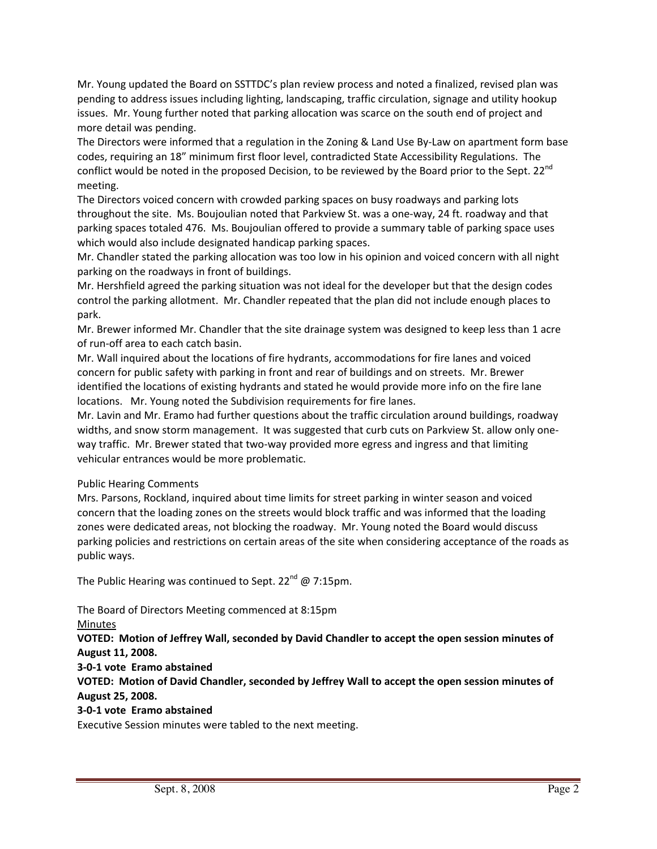Mr. Young updated the Board on SSTTDC's plan review process and noted a finalized, revised plan was pending to address issues including lighting, landscaping, traffic circulation, signage and utility hookup issues. Mr. Young further noted that parking allocation was scarce on the south end of project and more detail was pending.

The Directors were informed that a regulation in the Zoning & Land Use By-Law on apartment form base codes, requiring an 18" minimum first floor level, contradicted State Accessibility Regulations. The conflict would be noted in the proposed Decision, to be reviewed by the Board prior to the Sept. 22<sup>nd</sup> meeting.

The Directors voiced concern with crowded parking spaces on busy roadways and parking lots throughout the site. Ms. Boujoulian noted that Parkview St. was a one‐way, 24 ft. roadway and that parking spaces totaled 476. Ms. Boujoulian offered to provide a summary table of parking space uses which would also include designated handicap parking spaces.

Mr. Chandler stated the parking allocation was too low in his opinion and voiced concern with all night parking on the roadways in front of buildings.

Mr. Hershfield agreed the parking situation was not ideal for the developer but that the design codes control the parking allotment. Mr. Chandler repeated that the plan did not include enough places to park.

Mr. Brewer informed Mr. Chandler that the site drainage system was designed to keep less than 1 acre of run‐off area to each catch basin.

Mr. Wall inquired about the locations of fire hydrants, accommodations for fire lanes and voiced concern for public safety with parking in front and rear of buildings and on streets. Mr. Brewer identified the locations of existing hydrants and stated he would provide more info on the fire lane locations. Mr. Young noted the Subdivision requirements for fire lanes.

Mr. Lavin and Mr. Eramo had further questions about the traffic circulation around buildings, roadway widths, and snow storm management. It was suggested that curb cuts on Parkview St. allow only oneway traffic. Mr. Brewer stated that two-way provided more egress and ingress and that limiting vehicular entrances would be more problematic.

#### Public Hearing Comments

Mrs. Parsons, Rockland, inquired about time limits for street parking in winter season and voiced concern that the loading zones on the streets would block traffic and was informed that the loading zones were dedicated areas, not blocking the roadway. Mr. Young noted the Board would discuss parking policies and restrictions on certain areas of the site when considering acceptance of the roads as public ways.

The Public Hearing was continued to Sept. 22<sup>nd</sup>  $\omega$  7:15pm.

The Board of Directors Meeting commenced at 8:15pm

Minutes

**VOTED: Motion of Jeffrey Wall, seconded by David Chandler to accept the open session minutes of August 11, 2008.**

**3‐0‐1 vote Eramo abstained**

**VOTED: Motion of David Chandler, seconded by Jeffrey Wall to accept the open session minutes of August 25, 2008.**

## **3‐0‐1 vote Eramo abstained**

Executive Session minutes were tabled to the next meeting.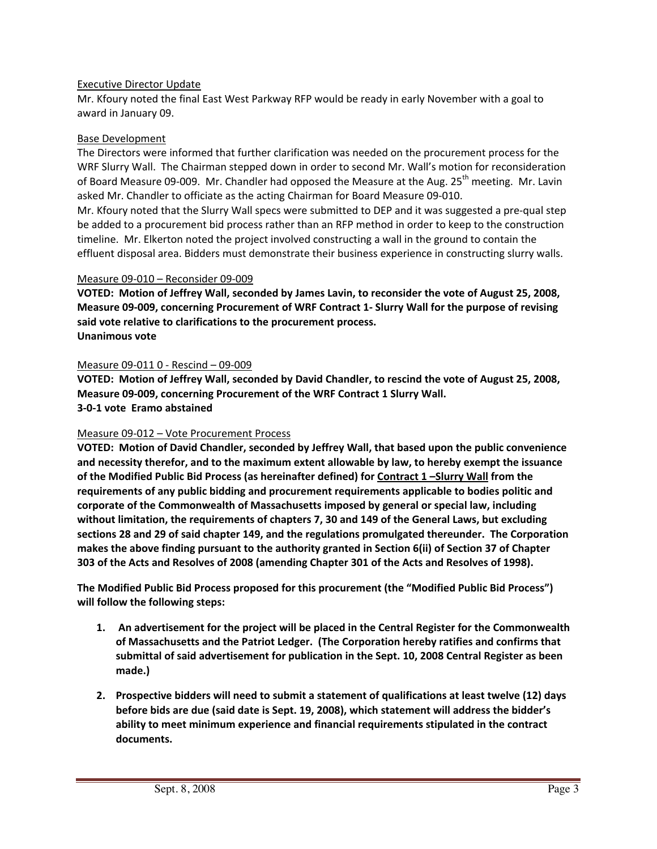### Executive Director Update

Mr. Kfoury noted the final East West Parkway RFP would be ready in early November with a goal to award in January 09.

### Base Development

The Directors were informed that further clarification was needed on the procurement process for the WRF Slurry Wall. The Chairman stepped down in order to second Mr. Wall's motion for reconsideration of Board Measure 09-009. Mr. Chandler had opposed the Measure at the Aug. 25<sup>th</sup> meeting. Mr. Lavin asked Mr. Chandler to officiate as the acting Chairman for Board Measure 09‐010.

Mr. Kfoury noted that the Slurry Wall specs were submitted to DEP and it was suggested a pre‐qual step be added to a procurement bid process rather than an RFP method in order to keep to the construction timeline. Mr. Elkerton noted the project involved constructing a wall in the ground to contain the effluent disposal area. Bidders must demonstrate their business experience in constructing slurry walls.

#### Measure 09‐010 – Reconsider 09‐009

**VOTED: Motion of Jeffrey Wall, seconded by James Lavin, to reconsider the vote of August 25, 2008, Measure 09‐009, concerning Procurement of WRF Contract 1‐ Slurry Wall for the purpose of revising said vote relative to clarifications to the procurement process. Unanimous vote**

## Measure 09‐011 0 ‐ Rescind – 09‐009

**VOTED: Motion of Jeffrey Wall, seconded by David Chandler, to rescind the vote of August 25, 2008, Measure 09‐009, concerning Procurement of the WRF Contract 1 Slurry Wall. 3‐0‐1 vote Eramo abstained**

## Measure 09‐012 – Vote Procurement Process

**VOTED: Motion of David Chandler, seconded by Jeffrey Wall, that based upon the public convenience and necessity therefor, and to the maximum extent allowable by law, to hereby exempt the issuance of the Modified Public Bid Process (as hereinafter defined) for Contract 1 –Slurry Wall from the requirements of any public bidding and procurement requirements applicable to bodies politic and corporate of the Commonwealth of Massachusetts imposed by general or special law, including without limitation, the requirements of chapters 7, 30 and 149 of the General Laws, but excluding sections 28 and 29 of said chapter 149, and the regulations promulgated thereunder. The Corporation makes the above finding pursuant to the authority granted in Section 6(ii) of Section 37 of Chapter 303 of the Acts and Resolves of 2008 (amending Chapter 301 of the Acts and Resolves of 1998).**

**The Modified Public Bid Process proposed for this procurement (the "Modified Public Bid Process") will follow the following steps:**

- **1. An advertisement for the project will be placed in the Central Register for the Commonwealth of Massachusetts and the Patriot Ledger. (The Corporation hereby ratifies and confirms that submittal of said advertisement for publication in the Sept. 10, 2008 Central Register as been made.)**
- **2. Prospective bidders will need to submit a statement of qualifications at least twelve (12) days before bids are due (said date is Sept. 19, 2008), which statement will address the bidder's ability to meet minimum experience and financial requirements stipulated in the contract documents.**